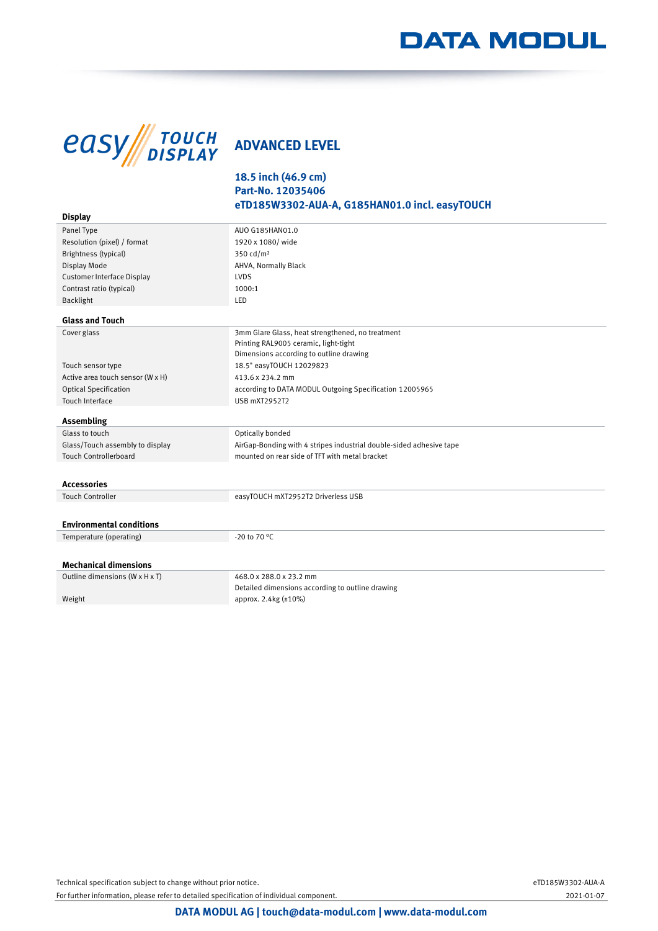## **DATA MODUL**



## **18.5 inch (46.9 cm) Part-No. 12035406 eTD185W3302-AUA-A, G185HAN01.0 incl. easyTOUCH**

| <b>Display</b>                   |                                                                     |
|----------------------------------|---------------------------------------------------------------------|
| Panel Type                       | AUO G185HAN01.0                                                     |
| Resolution (pixel) / format      | 1920 x 1080/ wide                                                   |
| Brightness (typical)             | 350 cd/m <sup>2</sup>                                               |
| Display Mode                     | AHVA, Normally Black                                                |
| Customer Interface Display       | LVDS                                                                |
| Contrast ratio (typical)         | 1000:1                                                              |
| Backlight                        | LED                                                                 |
| <b>Glass and Touch</b>           |                                                                     |
| Cover glass                      | 3mm Glare Glass, heat strengthened, no treatment                    |
|                                  | Printing RAL9005 ceramic, light-tight                               |
|                                  | Dimensions according to outline drawing                             |
| Touch sensor type                | 18.5" easyTOUCH 12029823                                            |
| Active area touch sensor (W x H) | 413.6 x 234.2 mm                                                    |
| <b>Optical Specification</b>     | according to DATA MODUL Outgoing Specification 12005965             |
| Touch Interface                  | <b>USB mXT2952T2</b>                                                |
| Assembling                       |                                                                     |
| Glass to touch                   | Optically bonded                                                    |
| Glass/Touch assembly to display  | AirGap-Bonding with 4 stripes industrial double-sided adhesive tape |
| <b>Touch Controllerboard</b>     | mounted on rear side of TFT with metal bracket                      |
|                                  |                                                                     |
| <b>Accessories</b>               |                                                                     |
| <b>Touch Controller</b>          | easyTOUCH mXT2952T2 Driverless USB                                  |
|                                  |                                                                     |
| <b>Environmental conditions</b>  |                                                                     |
| Temperature (operating)          | -20 to 70 °C                                                        |
|                                  |                                                                     |
| <b>Mechanical dimensions</b>     |                                                                     |
| Outline dimensions (W x H x T)   | 468.0 x 288.0 x 23.2 mm                                             |
|                                  | Detailed dimensions according to outline drawing                    |
| Weight                           | approx. 2.4kg (±10%)                                                |
|                                  |                                                                     |

Technical specification subject to change without prior notice. eTD185W3302-AUA-A

For further information, please refer to detailed specification of individual component. 2021-01-07